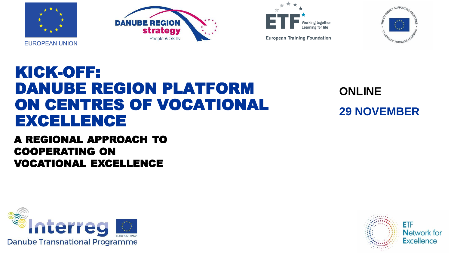







**European Training Foundation** 

## KICK-OFF: DANUBE REGION PLATFORM ON CENTRES OF VOCATIONAL EXCELLENCE

A REGIONAL APPROACH TO COOPERATING ON VOCATIONAL EXCELLENCE



**ONLINE 29 NOVEMBER**

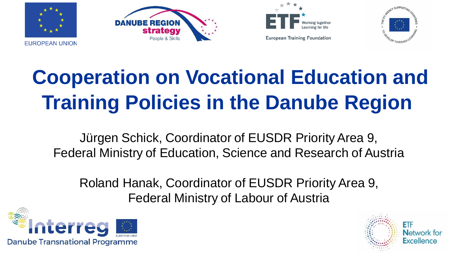







# **Cooperation on Vocational Education and Training Policies in the Danube Region**

Jürgen Schick, Coordinator of EUSDR Priority Area 9, Federal Ministry of Education, Science and Research of Austria

Roland Hanak, Coordinator of EUSDR Priority Area 9, Federal Ministry of Labour of Austria



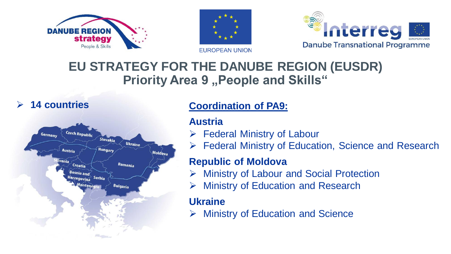



**EUROPEAN UNION** 



## **EU STRATEGY FOR THE DANUBE REGION (EUSDR) Priority Area 9 "People and Skills"**

#### ➢ **14 countries**



#### **Coordination of PA9:**

#### **Austria**

- $\triangleright$  Federal Ministry of Labour
- ➢ Federal Ministry of Education, Science and Research

#### **Republic of Moldova**

- **Ministry of Labour and Social Protection**
- **Ministry of Education and Research**

#### **Ukraine**

➢ Ministry of Education and Science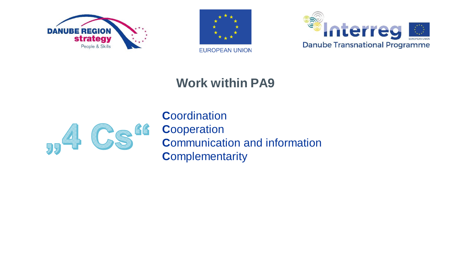





## **Work within PA9**



**C**oordination **C**ooperation **C**ommunication and information **C**omplementarity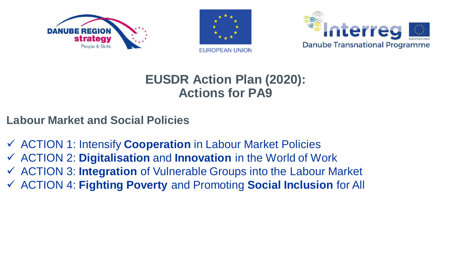





## **EUSDR Action Plan (2020): Actions for PA9**

- **Labour Market and Social Policies**
- ✓ ACTION 1: Intensify **Cooperation** in Labour Market Policies
- ✓ ACTION 2: **Digitalisation** and **Innovation** in the World of Work
- ✓ ACTION 3: **Integration** of Vulnerable Groups into the Labour Market
- ✓ ACTION 4: **Fighting Poverty** and Promoting **Social Inclusion** for All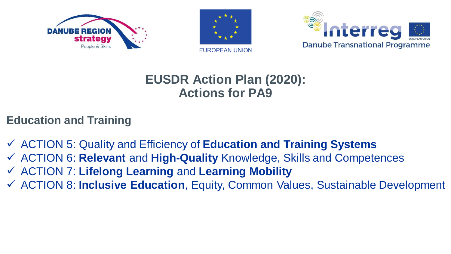





## **EUSDR Action Plan (2020): Actions for PA9**

#### **Education and Training**

- ✓ ACTION 5: Quality and Efficiency of **Education and Training Systems**
- ✓ ACTION 6: **Relevant** and **High-Quality** Knowledge, Skills and Competences
- ✓ ACTION 7: **Lifelong Learning** and **Learning Mobility**
- ✓ ACTION 8: **Inclusive Education**, Equity, Common Values, Sustainable Development